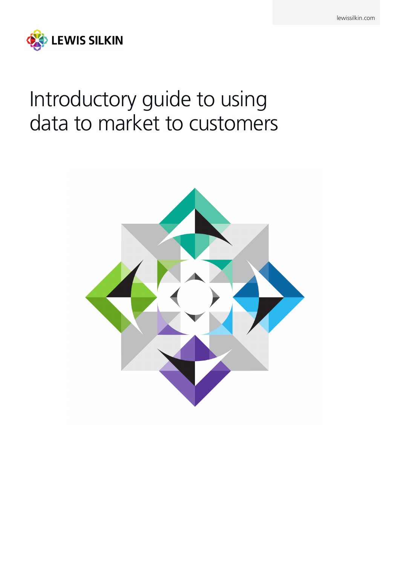

# Introductory guide to using data to market to customers

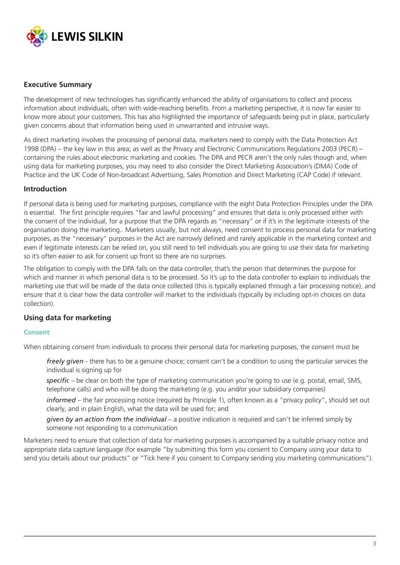

## **Executive Summary**

The development of new technologies has significantly enhanced the ability of organisations to collect and process information about individuals, often with wide-reaching benefits. From a marketing perspective, it is now far easier to know more about your customers. This has also highlighted the importance of safeguards being put in place, particularly given concerns about that information being used in unwarranted and intrusive ways.

As direct marketing involves the processing of personal data, marketers need to comply with the Data Protection Act 1998 (DPA) – the key law in this area; as well as the Privacy and Electronic Communications Regulations 2003 (PECR) – containing the rules about electronic marketing and cookies. The DPA and PECR aren't the only rules though and, when using data for marketing purposes, you may need to also consider the Direct Marketing Association's (DMA) Code of Practice and the UK Code of Non-broadcast Advertising, Sales Promotion and Direct Marketing (CAP Code) if relevant.

#### **Introduction**

If personal data is being used for marketing purposes, compliance with the eight Data Protection Principles under the DPA is essential. The first principle requires "fair and lawful processing" and ensures that data is only processed either with the consent of the individual, for a purpose that the DPA regards as "necessary" or if it's in the legitimate interests of the organisation doing the marketing.. Marketers usually, but not always, need consent to process personal data for marketing purposes, as the "necessary" purposes in the Act are narrowly defined and rarely applicable in the marketing context and even if legitimate interests can be relied on, you still need to tell individuals you are going to use their data for marketing so it's often easier to ask for consent up front so there are no surprises.

The obligation to comply with the DPA falls on the data controller, that's the person that determines the purpose for which and manner in which personal data is to be processed. So it's up to the data controller to explain to individuals the marketing use that will be made of the data once collected (this is typically explained through a fair processing notice), and ensure that it is clear how the data controller will market to the individuals (typically by including opt-in choices on data collection).

## **Using data for marketing**

#### **Consent**

When obtaining consent from individuals to process their personal data for marketing purposes, the consent must be

*freely given* - there has to be a genuine choice; consent can't be a condition to using the particular services the individual is signing up for

*specific* – be clear on both the type of marketing communication you're going to use (e.g. postal, email, SMS, telephone calls) and who will be doing the marketing (e.g. you and/or your subsidiary companies)

*informed* – the fair processing notice (required by Principle 1), often known as a "privacy policy", should set out clearly, and in plain English, what the data will be used for; and

*given by an action from the individual* – a positive indication is required and can't be inferred simply by someone not responding to a communication

Marketers need to ensure that collection of data for marketing purposes is accompanied by a suitable privacy notice and appropriate data capture language (for example "by submitting this form you consent to Company using your data to send you details about our products" or "Tick here if you consent to Company sending you marketing communications").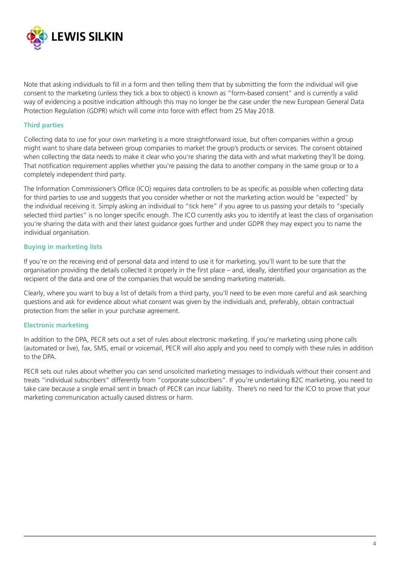

Note that asking individuals to fill in a form and then telling them that by submitting the form the individual will give consent to the marketing (unless they tick a box to object) is known as "form-based consent" and is currently a valid way of evidencing a positive indication although this may no longer be the case under the new European General Data Protection Regulation (GDPR) which will come into force with effect from 25 May 2018.

#### **Third parties**

Collecting data to use for your own marketing is a more straightforward issue, but often companies within a group might want to share data between group companies to market the group's products or services. The consent obtained when collecting the data needs to make it clear who you're sharing the data with and what marketing they'll be doing. That notification requirement applies whether you're passing the data to another company in the same group or to a completely independent third party.

The Information Commissioner's Office (ICO) requires data controllers to be as specific as possible when collecting data for third parties to use and suggests that you consider whether or not the marketing action would be "expected" by the individual receiving it. Simply asking an individual to "tick here" if you agree to us passing your details to "specially selected third parties" is no longer specific enough. The ICO currently asks you to identify at least the class of organisation you're sharing the data with and their latest guidance goes further and under GDPR they may expect you to name the individual organisation.

#### **Buying in marketing lists**

If you're on the receiving end of personal data and intend to use it for marketing, you'll want to be sure that the organisation providing the details collected it properly in the first place – and, ideally, identified your organisation as the recipient of the data and one of the companies that would be sending marketing materials.

Clearly, where you want to buy a list of details from a third party, you'll need to be even more careful and ask searching questions and ask for evidence about what consent was given by the individuals and, preferably, obtain contractual protection from the seller in your purchase agreement.

#### **Electronic marketing**

In addition to the DPA, PECR sets out a set of rules about electronic marketing. If you're marketing using phone calls (automated or live), fax, SMS, email or voicemail, PECR will also apply and you need to comply with these rules in addition to the DPA.

PECR sets out rules about whether you can send unsolicited marketing messages to individuals without their consent and treats "individual subscribers" differently from "corporate subscribers". If you're undertaking B2C marketing, you need to take care because a single email sent in breach of PECR can incur liability. There's no need for the ICO to prove that your marketing communication actually caused distress or harm.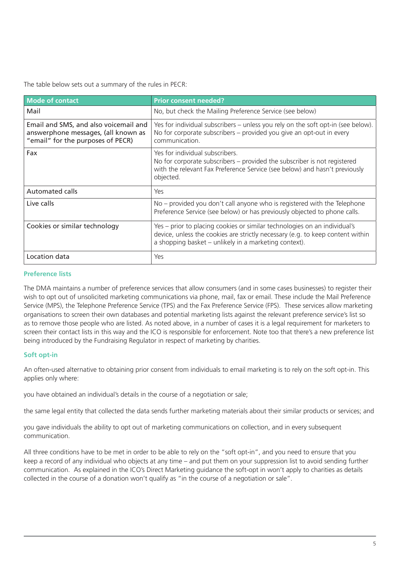The table below sets out a summary of the rules in PECR:

| <b>Mode of contact</b>                                                                                            | <b>Prior consent needed?</b>                                                                                                                                                                                         |
|-------------------------------------------------------------------------------------------------------------------|----------------------------------------------------------------------------------------------------------------------------------------------------------------------------------------------------------------------|
| Mail                                                                                                              | No, but check the Mailing Preference Service (see below)                                                                                                                                                             |
| Email and SMS, and also voicemail and<br>answerphone messages, (all known as<br>"email" for the purposes of PECR) | Yes for individual subscribers – unless you rely on the soft opt-in (see below).<br>No for corporate subscribers – provided you give an opt-out in every<br>communication.                                           |
| Fax                                                                                                               | Yes for individual subscribers.<br>No for corporate subscribers – provided the subscriber is not registered<br>with the relevant Fax Preference Service (see below) and hasn't previously<br>objected.               |
| <b>Automated calls</b>                                                                                            | Yes                                                                                                                                                                                                                  |
| Live calls                                                                                                        | No – provided you don't call anyone who is registered with the Telephone<br>Preference Service (see below) or has previously objected to phone calls.                                                                |
| Cookies or similar technology                                                                                     | Yes – prior to placing cookies or similar technologies on an individual's<br>device, unless the cookies are strictly necessary (e.g. to keep content within<br>a shopping basket – unlikely in a marketing context). |
| Location data                                                                                                     | Yes                                                                                                                                                                                                                  |

#### **Preference lists**

The DMA maintains a number of preference services that allow consumers (and in some cases businesses) to register their wish to opt out of unsolicited marketing communications via phone, mail, fax or email. These include the Mail Preference Service (MPS), the Telephone Preference Service (TPS) and the Fax Preference Service (FPS). These services allow marketing organisations to screen their own databases and potential marketing lists against the relevant preference service's list so as to remove those people who are listed. As noted above, in a number of cases it is a legal requirement for marketers to screen their contact lists in this way and the ICO is responsible for enforcement. Note too that there's a new preference list being introduced by the Fundraising Regulator in respect of marketing by charities.

## **Soft opt-in**

An often-used alternative to obtaining prior consent from individuals to email marketing is to rely on the soft opt-in. This applies only where:

you have obtained an individual's details in the course of a negotiation or sale;

the same legal entity that collected the data sends further marketing materials about their similar products or services; and

you gave individuals the ability to opt out of marketing communications on collection, and in every subsequent communication.

All three conditions have to be met in order to be able to rely on the "soft opt-in", and you need to ensure that you keep a record of any individual who objects at any time – and put them on your suppression list to avoid sending further communication. As explained in the ICO's Direct Marketing guidance the soft-opt in won't apply to charities as details collected in the course of a donation won't qualify as "in the course of a negotiation or sale".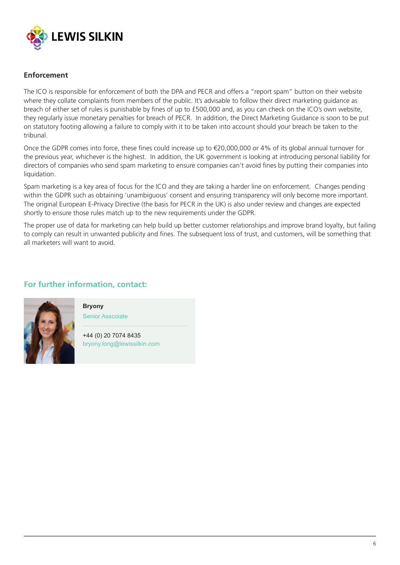

## **Enforcement**

The ICO is responsible for enforcement of both the DPA and PECR and offers a "report spam" button on their website where they collate complaints from members of the public. It's advisable to follow their direct marketing guidance as breach of either set of rules is punishable by fines of up to £500,000 and, as you can check on the ICO's own website, they regularly issue monetary penalties for breach of PECR. In addition, the Direct Marketing Guidance is soon to be put on statutory footing allowing a failure to comply with it to be taken into account should your breach be taken to the tribunal.

Once the GDPR comes into force, these fines could increase up to €20,000,000 or 4% of its global annual turnover for the previous year, whichever is the highest. In addition, the UK government is looking at introducing personal liability for directors of companies who send spam marketing to ensure companies can't avoid fines by putting their companies into liquidation.

Spam marketing is a key area of focus for the ICO and they are taking a harder line on enforcement. Changes pending within the GDPR such as obtaining 'unambiguous' consent and ensuring transparency will only become more important. The original European E-Privacy Directive (the basis for PECR in the UK) is also under review and changes are expected shortly to ensure those rules match up to the new requirements under the GDPR.

The proper use of data for marketing can help build up better customer relationships and improve brand loyalty, but failing to comply can result in unwanted publicity and fines. The subsequent loss of trust, and customers, will be something that all marketers will want to avoid.

## **For further information, contact:**



#### **Bryony**  Senior Asscoiate

+44 (0) 20 7074 8435 bryony.long@lewissilkin.com